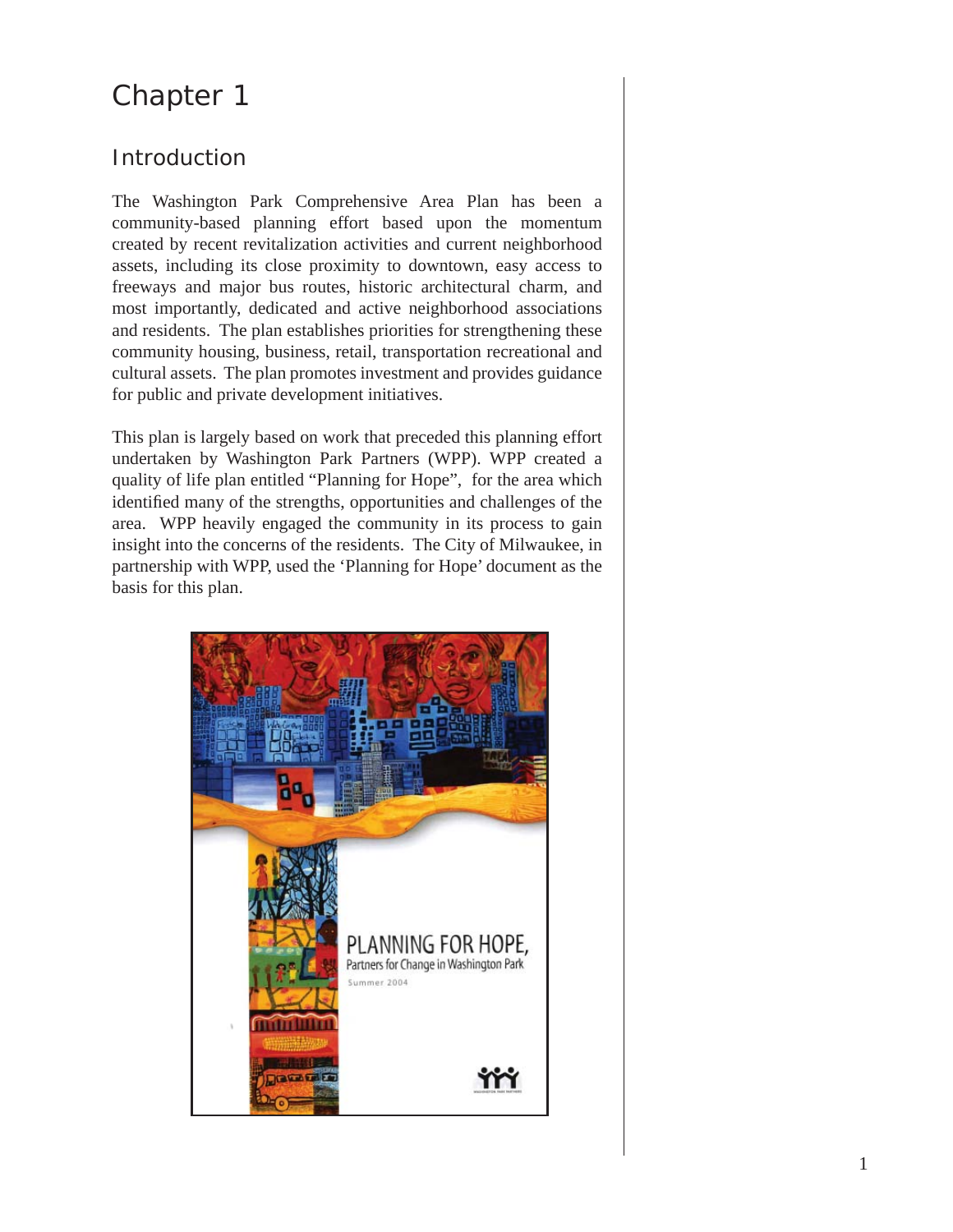# Chapter 1

# Introduction

The Washington Park Comprehensive Area Plan has been a community-based planning effort based upon the momentum created by recent revitalization activities and current neighborhood assets, including its close proximity to downtown, easy access to freeways and major bus routes, historic architectural charm, and most importantly, dedicated and active neighborhood associations and residents. The plan establishes priorities for strengthening these community housing, business, retail, transportation recreational and cultural assets. The plan promotes investment and provides guidance for public and private development initiatives.

This plan is largely based on work that preceded this planning effort undertaken by Washington Park Partners (WPP). WPP created a quality of life plan entitled "Planning for Hope", for the area which identified many of the strengths, opportunities and challenges of the area. WPP heavily engaged the community in its process to gain insight into the concerns of the residents. The City of Milwaukee, in partnership with WPP, used the 'Planning for Hope' document as the basis for this plan.

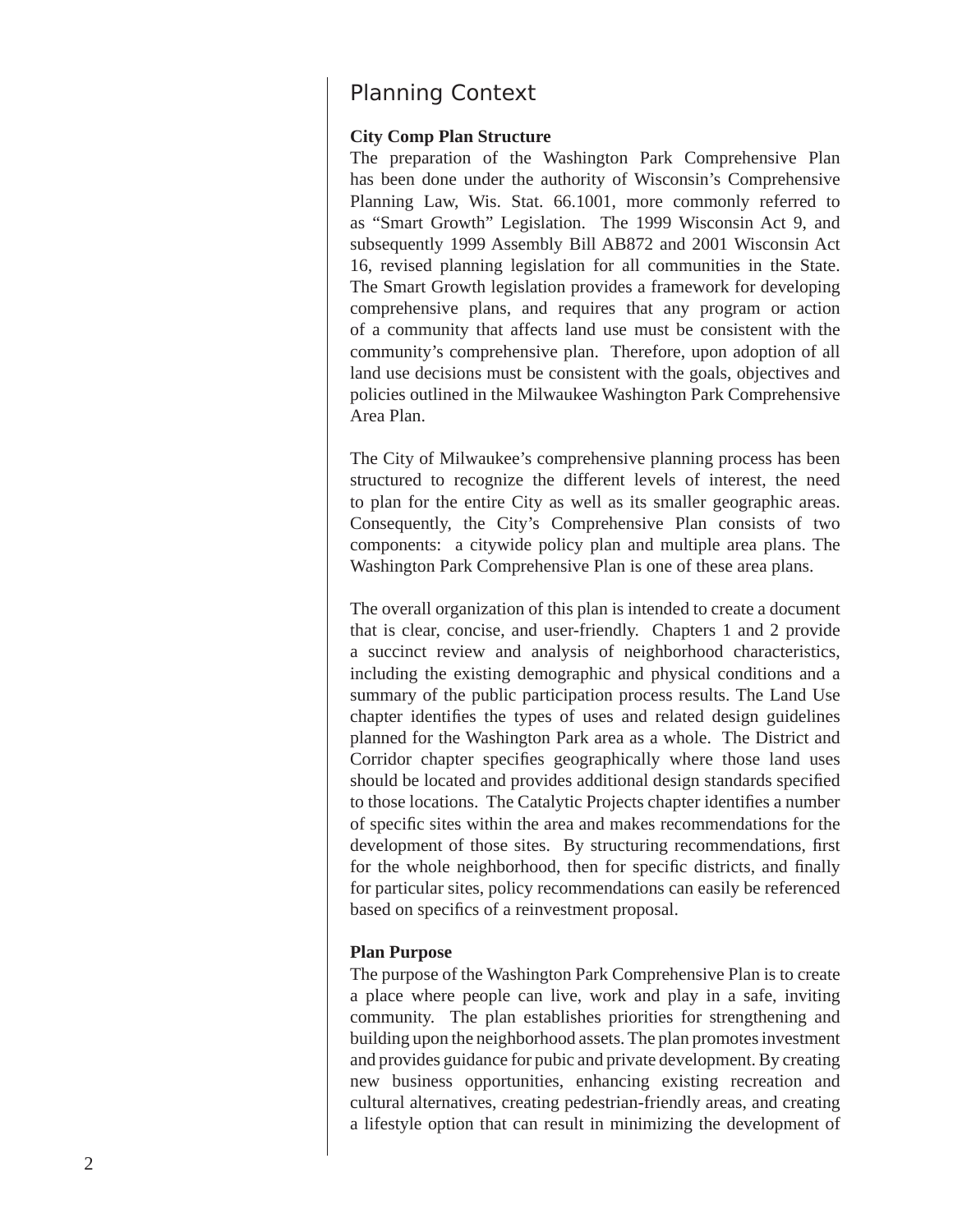# Planning Context

## **City Comp Plan Structure**

The preparation of the Washington Park Comprehensive Plan has been done under the authority of Wisconsin's Comprehensive Planning Law, Wis. Stat. 66.1001, more commonly referred to as "Smart Growth" Legislation. The 1999 Wisconsin Act 9, and subsequently 1999 Assembly Bill AB872 and 2001 Wisconsin Act 16, revised planning legislation for all communities in the State. The Smart Growth legislation provides a framework for developing comprehensive plans, and requires that any program or action of a community that affects land use must be consistent with the community's comprehensive plan. Therefore, upon adoption of all land use decisions must be consistent with the goals, objectives and policies outlined in the Milwaukee Washington Park Comprehensive Area Plan.

The City of Milwaukee's comprehensive planning process has been structured to recognize the different levels of interest, the need to plan for the entire City as well as its smaller geographic areas. Consequently, the City's Comprehensive Plan consists of two components: a citywide policy plan and multiple area plans. The Washington Park Comprehensive Plan is one of these area plans.

The overall organization of this plan is intended to create a document that is clear, concise, and user-friendly. Chapters 1 and 2 provide a succinct review and analysis of neighborhood characteristics, including the existing demographic and physical conditions and a summary of the public participation process results. The Land Use chapter identifies the types of uses and related design guidelines planned for the Washington Park area as a whole. The District and Corridor chapter specifies geographically where those land uses should be located and provides additional design standards specified to those locations. The Catalytic Projects chapter identifies a number of specific sites within the area and makes recommendations for the development of those sites. By structuring recommendations, first for the whole neighborhood, then for specific districts, and finally for particular sites, policy recommendations can easily be referenced based on specifics of a reinvestment proposal.

#### **Plan Purpose**

The purpose of the Washington Park Comprehensive Plan is to create a place where people can live, work and play in a safe, inviting community. The plan establishes priorities for strengthening and building upon the neighborhood assets. The plan promotes investment and provides guidance for pubic and private development. By creating new business opportunities, enhancing existing recreation and cultural alternatives, creating pedestrian-friendly areas, and creating a lifestyle option that can result in minimizing the development of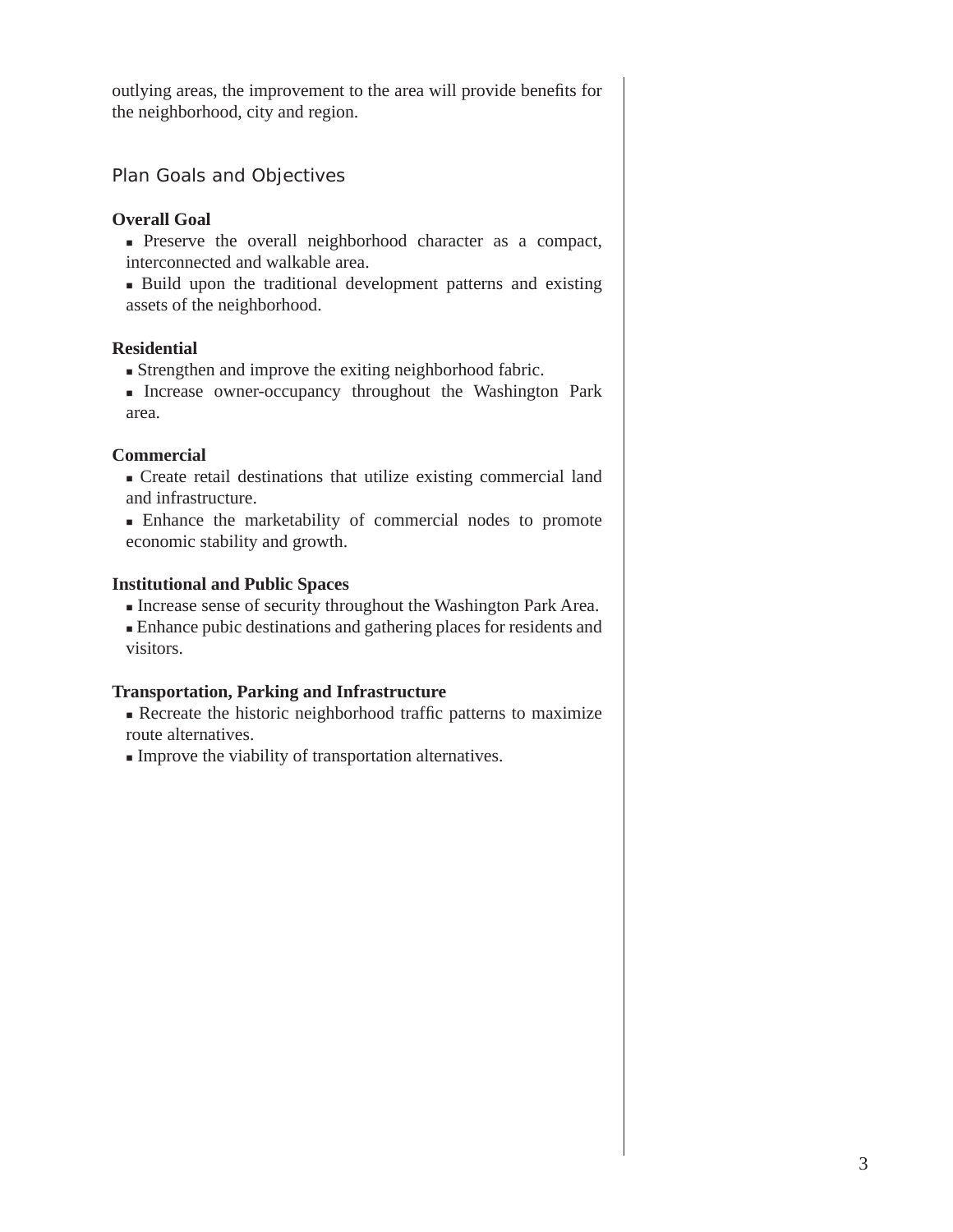outlying areas, the improvement to the area will provide benefits for the neighborhood, city and region.

Plan Goals and Objectives

## **Overall Goal**

- Preserve the overall neighborhood character as a compact, interconnected and walkable area.
- Build upon the traditional development patterns and existing assets of the neighborhood.

## **Residential**

- Strengthen and improve the exiting neighborhood fabric.
- Increase owner-occupancy throughout the Washington Park area.

## **Commercial**

- Create retail destinations that utilize existing commercial land and infrastructure.
- Enhance the marketability of commercial nodes to promote economic stability and growth.

## **Institutional and Public Spaces**

- Increase sense of security throughout the Washington Park Area.
- Enhance pubic destinations and gathering places for residents and visitors.

## **Transportation, Parking and Infrastructure**

- $\blacksquare$  Recreate the historic neighborhood traffic patterns to maximize route alternatives.
- Improve the viability of transportation alternatives.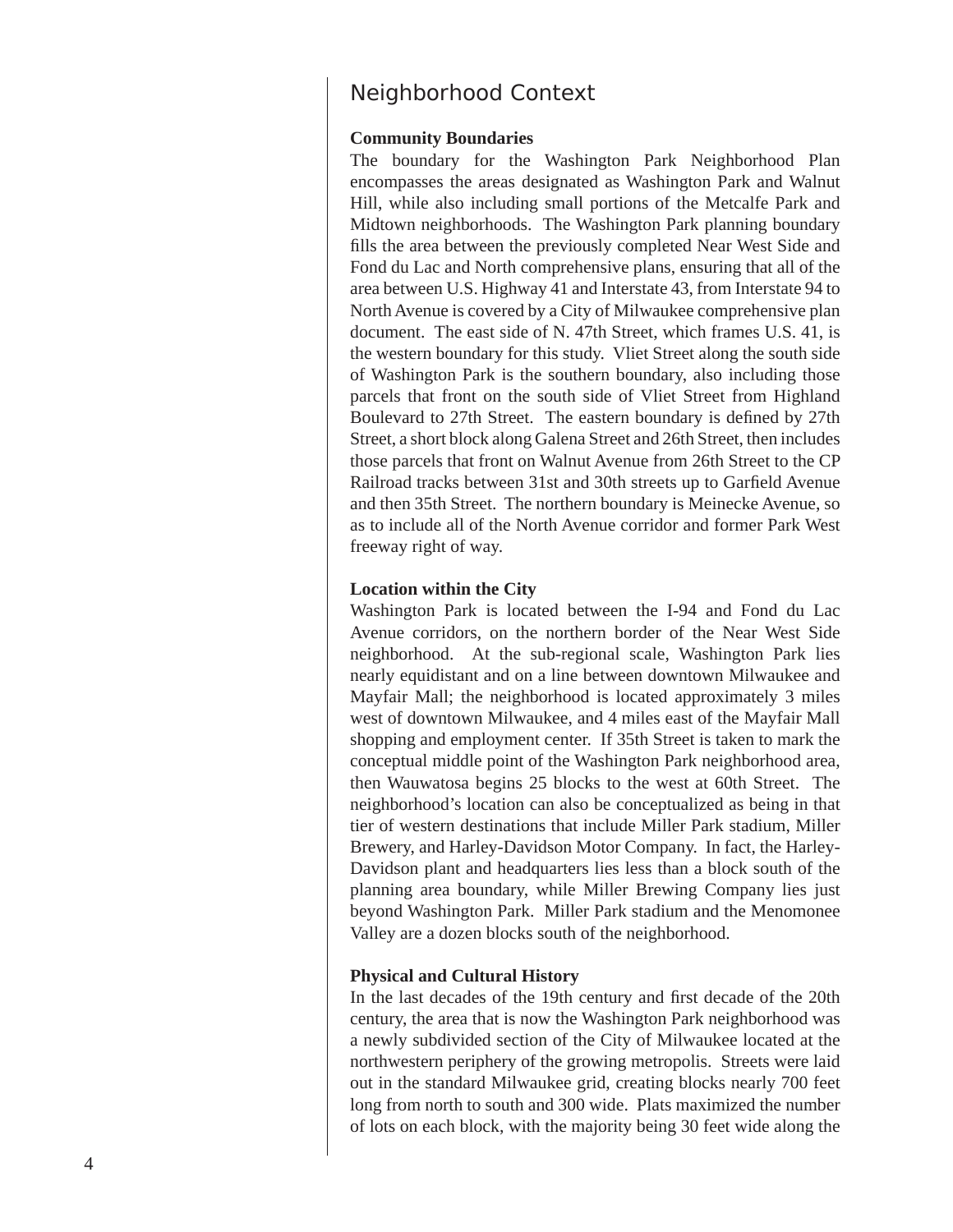## Neighborhood Context

#### **Community Boundaries**

The boundary for the Washington Park Neighborhood Plan encompasses the areas designated as Washington Park and Walnut Hill, while also including small portions of the Metcalfe Park and Midtown neighborhoods. The Washington Park planning boundary fills the area between the previously completed Near West Side and Fond du Lac and North comprehensive plans, ensuring that all of the area between U.S. Highway 41 and Interstate 43, from Interstate 94 to North Avenue is covered by a City of Milwaukee comprehensive plan document. The east side of N. 47th Street, which frames U.S. 41, is the western boundary for this study. Vliet Street along the south side of Washington Park is the southern boundary, also including those parcels that front on the south side of Vliet Street from Highland Boulevard to 27th Street. The eastern boundary is defined by 27th Street, a short block along Galena Street and 26th Street, then includes those parcels that front on Walnut Avenue from 26th Street to the CP Railroad tracks between 31st and 30th streets up to Garfield Avenue and then 35th Street. The northern boundary is Meinecke Avenue, so as to include all of the North Avenue corridor and former Park West freeway right of way.

#### **Location within the City**

Washington Park is located between the I-94 and Fond du Lac Avenue corridors, on the northern border of the Near West Side neighborhood. At the sub-regional scale, Washington Park lies nearly equidistant and on a line between downtown Milwaukee and Mayfair Mall; the neighborhood is located approximately 3 miles west of downtown Milwaukee, and 4 miles east of the Mayfair Mall shopping and employment center. If 35th Street is taken to mark the conceptual middle point of the Washington Park neighborhood area, then Wauwatosa begins 25 blocks to the west at 60th Street. The neighborhood's location can also be conceptualized as being in that tier of western destinations that include Miller Park stadium, Miller Brewery, and Harley-Davidson Motor Company. In fact, the Harley-Davidson plant and headquarters lies less than a block south of the planning area boundary, while Miller Brewing Company lies just beyond Washington Park. Miller Park stadium and the Menomonee Valley are a dozen blocks south of the neighborhood.

#### **Physical and Cultural History**

In the last decades of the 19th century and first decade of the 20th century, the area that is now the Washington Park neighborhood was a newly subdivided section of the City of Milwaukee located at the northwestern periphery of the growing metropolis. Streets were laid out in the standard Milwaukee grid, creating blocks nearly 700 feet long from north to south and 300 wide. Plats maximized the number of lots on each block, with the majority being 30 feet wide along the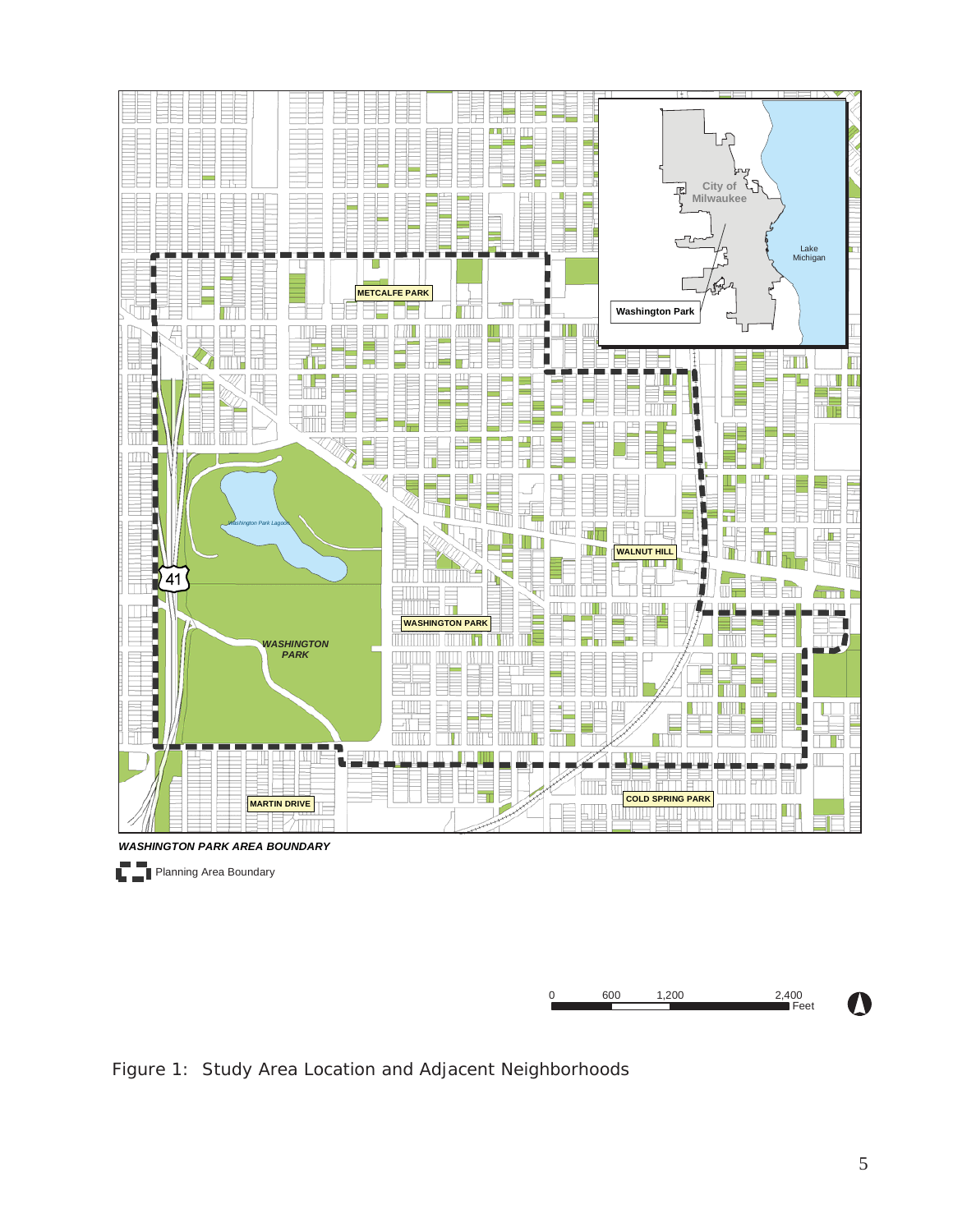

Figure 1: Study Area Location and Adjacent Neighborhoods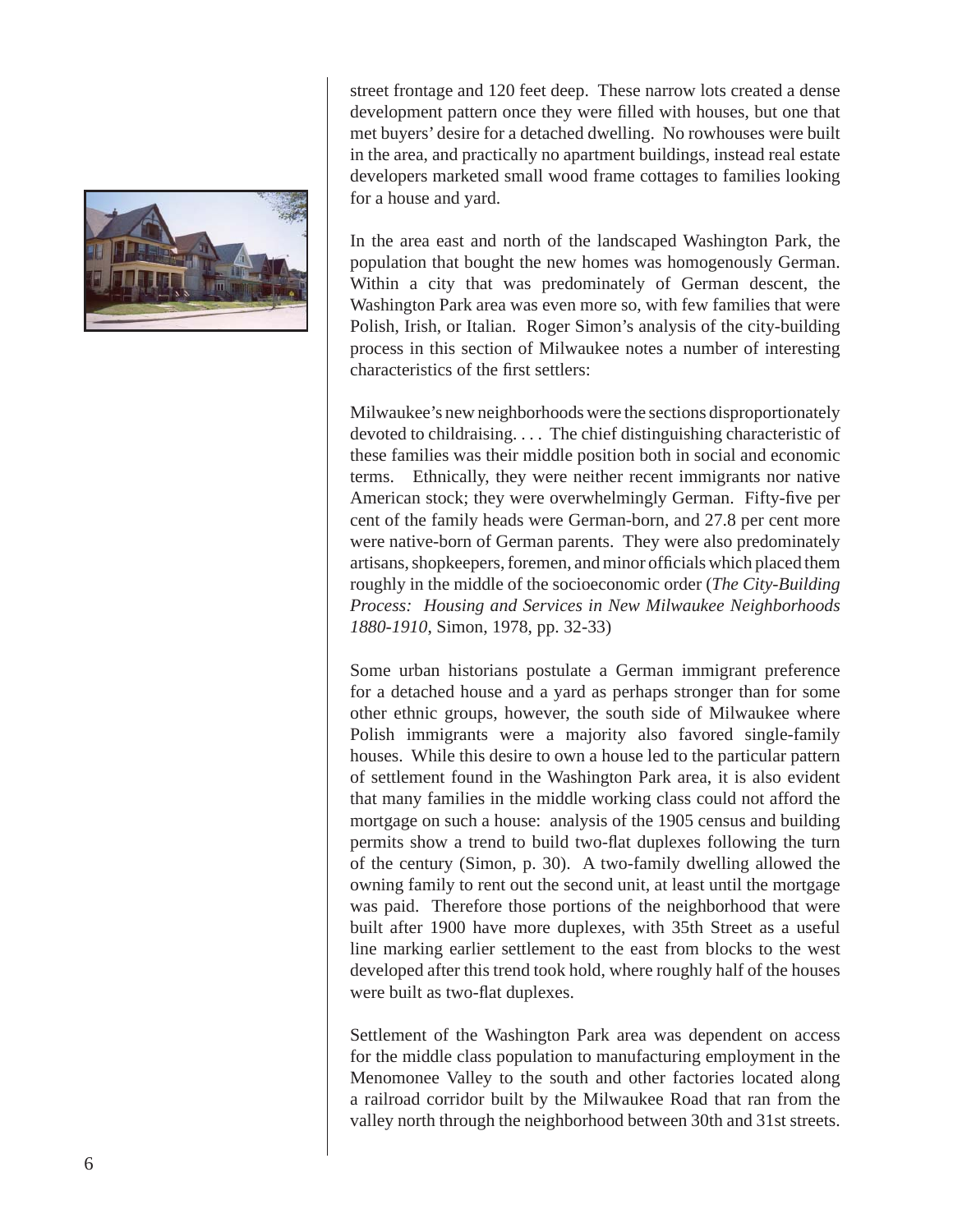

street frontage and 120 feet deep. These narrow lots created a dense development pattern once they were filled with houses, but one that met buyers' desire for a detached dwelling. No rowhouses were built in the area, and practically no apartment buildings, instead real estate developers marketed small wood frame cottages to families looking for a house and yard.

In the area east and north of the landscaped Washington Park, the population that bought the new homes was homogenously German. Within a city that was predominately of German descent, the Washington Park area was even more so, with few families that were Polish, Irish, or Italian. Roger Simon's analysis of the city-building process in this section of Milwaukee notes a number of interesting characteristics of the first settlers:

Milwaukee's new neighborhoods were the sections disproportionately devoted to childraising. . . . The chief distinguishing characteristic of these families was their middle position both in social and economic terms. Ethnically, they were neither recent immigrants nor native American stock; they were overwhelmingly German. Fifty-five per cent of the family heads were German-born, and 27.8 per cent more were native-born of German parents. They were also predominately artisans, shopkeepers, foremen, and minor officials which placed them roughly in the middle of the socioeconomic order (*The City-Building Process: Housing and Services in New Milwaukee Neighborhoods 1880-1910*, Simon, 1978, pp. 32-33)

Some urban historians postulate a German immigrant preference for a detached house and a yard as perhaps stronger than for some other ethnic groups, however, the south side of Milwaukee where Polish immigrants were a majority also favored single-family houses. While this desire to own a house led to the particular pattern of settlement found in the Washington Park area, it is also evident that many families in the middle working class could not afford the mortgage on such a house: analysis of the 1905 census and building permits show a trend to build two-flat duplexes following the turn of the century (Simon, p. 30). A two-family dwelling allowed the owning family to rent out the second unit, at least until the mortgage was paid. Therefore those portions of the neighborhood that were built after 1900 have more duplexes, with 35th Street as a useful line marking earlier settlement to the east from blocks to the west developed after this trend took hold, where roughly half of the houses were built as two-flat duplexes.

Settlement of the Washington Park area was dependent on access for the middle class population to manufacturing employment in the Menomonee Valley to the south and other factories located along a railroad corridor built by the Milwaukee Road that ran from the valley north through the neighborhood between 30th and 31st streets.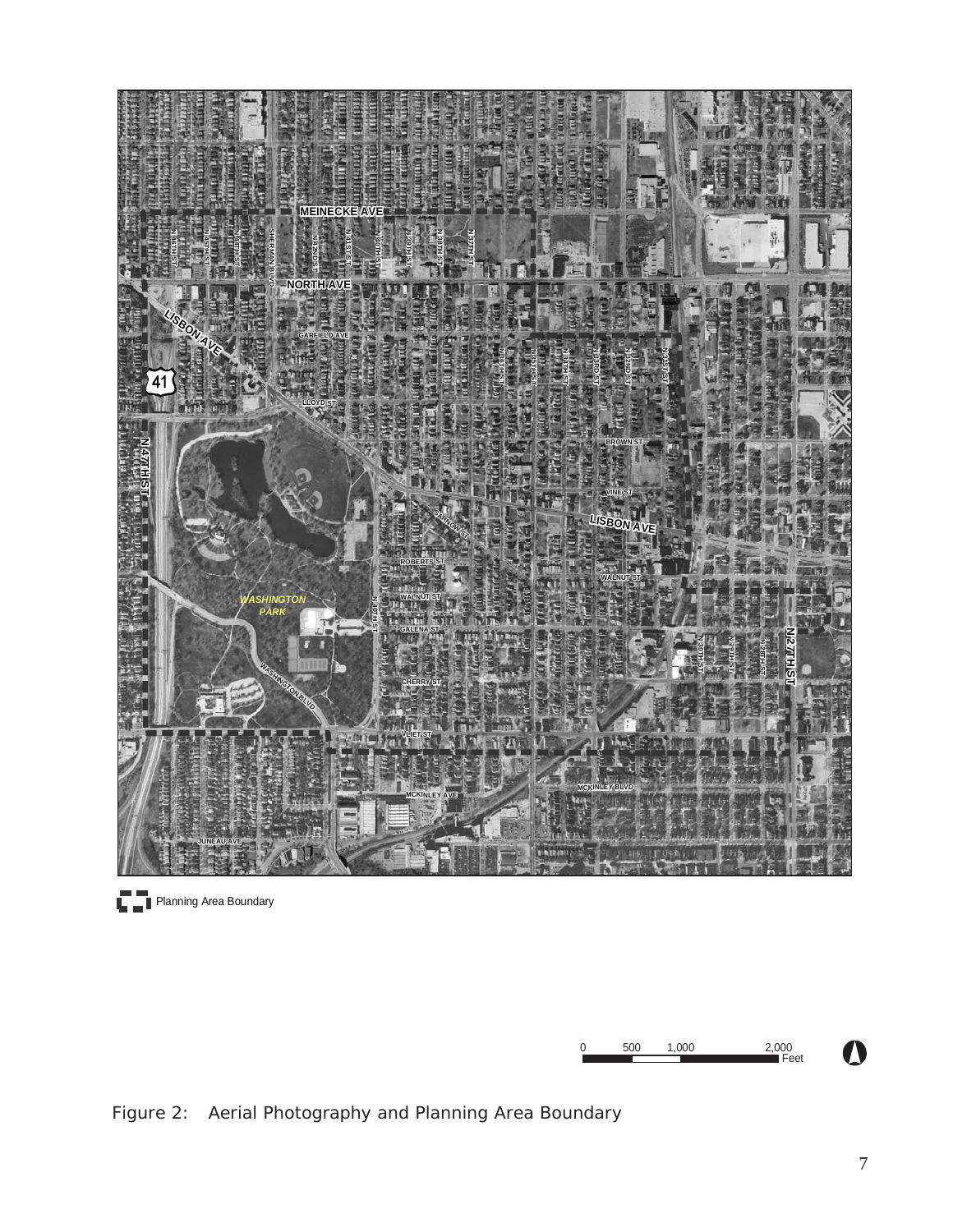

**Planning Area Boundary** 



Figure 2: Aerial Photography and Planning Area Boundary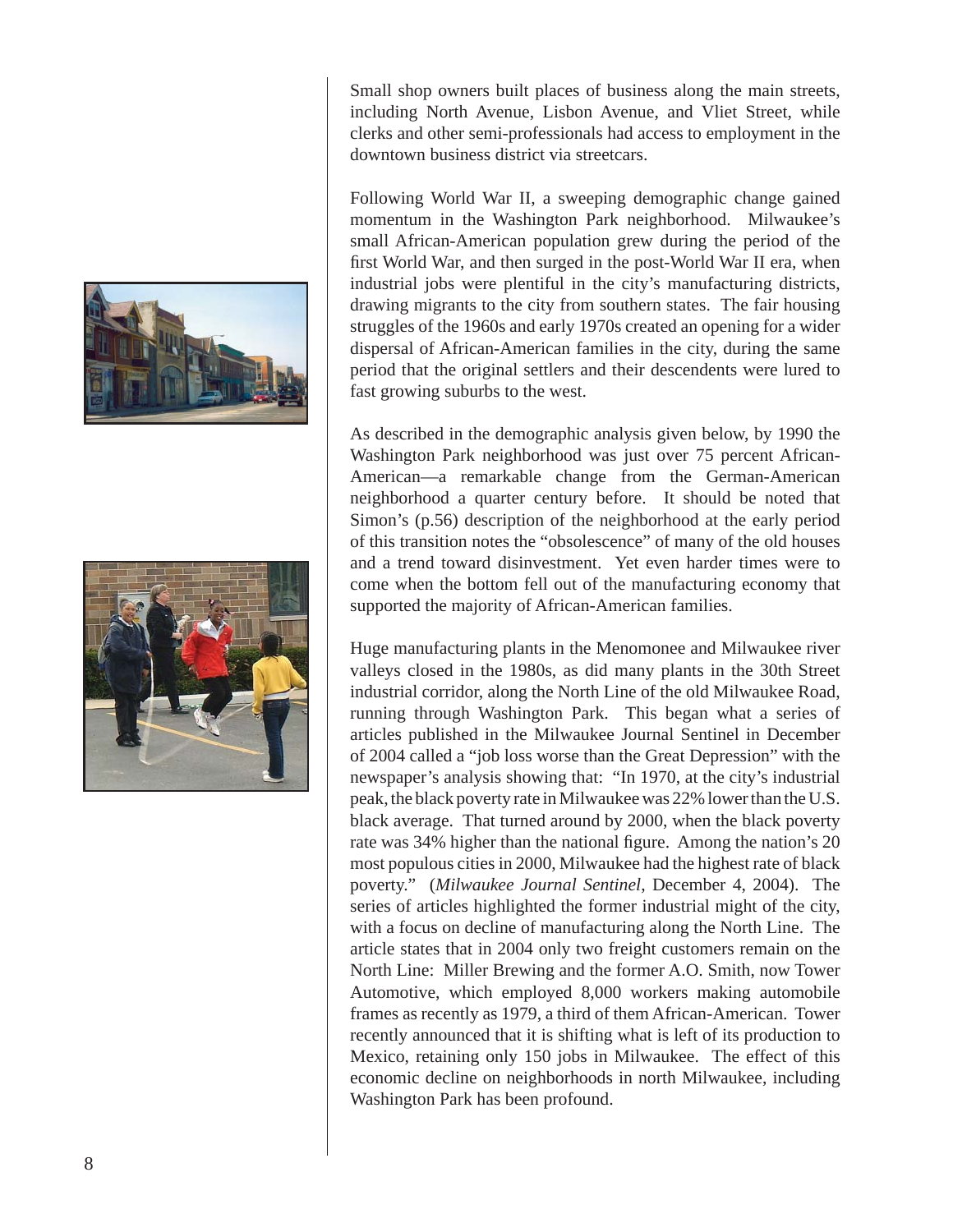



Small shop owners built places of business along the main streets, including North Avenue, Lisbon Avenue, and Vliet Street, while clerks and other semi-professionals had access to employment in the downtown business district via streetcars.

Following World War II, a sweeping demographic change gained momentum in the Washington Park neighborhood. Milwaukee's small African-American population grew during the period of the first World War, and then surged in the post-World War II era, when industrial jobs were plentiful in the city's manufacturing districts, drawing migrants to the city from southern states. The fair housing struggles of the 1960s and early 1970s created an opening for a wider dispersal of African-American families in the city, during the same period that the original settlers and their descendents were lured to fast growing suburbs to the west.

As described in the demographic analysis given below, by 1990 the Washington Park neighborhood was just over 75 percent African-American—a remarkable change from the German-American neighborhood a quarter century before. It should be noted that Simon's (p.56) description of the neighborhood at the early period of this transition notes the "obsolescence" of many of the old houses and a trend toward disinvestment. Yet even harder times were to come when the bottom fell out of the manufacturing economy that supported the majority of African-American families.

Huge manufacturing plants in the Menomonee and Milwaukee river valleys closed in the 1980s, as did many plants in the 30th Street industrial corridor, along the North Line of the old Milwaukee Road, running through Washington Park. This began what a series of articles published in the Milwaukee Journal Sentinel in December of 2004 called a "job loss worse than the Great Depression" with the newspaper's analysis showing that: "In 1970, at the city's industrial peak, the black poverty rate in Milwaukee was 22% lower than the U.S. black average. That turned around by 2000, when the black poverty rate was 34% higher than the national figure. Among the nation's 20 most populous cities in 2000, Milwaukee had the highest rate of black poverty." (*Milwaukee Journal Sentinel*, December 4, 2004). The series of articles highlighted the former industrial might of the city, with a focus on decline of manufacturing along the North Line. The article states that in 2004 only two freight customers remain on the North Line: Miller Brewing and the former A.O. Smith, now Tower Automotive, which employed 8,000 workers making automobile frames as recently as 1979, a third of them African-American. Tower recently announced that it is shifting what is left of its production to Mexico, retaining only 150 jobs in Milwaukee. The effect of this economic decline on neighborhoods in north Milwaukee, including Washington Park has been profound.